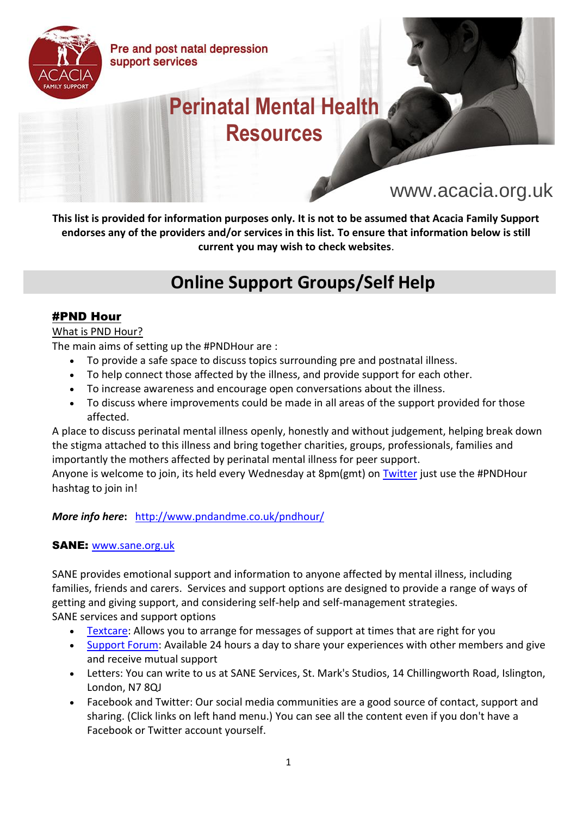Pre and post natal depression support services



# **Perinatal Mental Health Resources**

# www.acacia.org.uk

**This list is provided for information purposes only. It is not to be assumed that Acacia Family Support endorses any of the providers and/or services in this list. To ensure that information below is still current you may wish to check websites**.

# **Online Support Groups/Self Help**

#### #PND Hour

#### What is PND Hour?

The main aims of setting up the #PNDHour are :

- To provide a safe space to discuss topics surrounding pre and postnatal illness.
- To help connect those affected by the illness, and provide support for each other.
- To increase awareness and encourage open conversations about the illness.
- To discuss where improvements could be made in all areas of the support provided for those affected.

A place to discuss perinatal mental illness openly, honestly and without judgement, helping break down the stigma attached to this illness and bring together charities, groups, professionals, families and importantly the mothers affected by perinatal mental illness for peer support.

Anyone is welcome to join, its held every Wednesday at 8pm(gmt) on [Twitter](http://www.twitter.com/pndandme) just use the #PNDHour hashtag to join in!

#### *More info here***:** <http://www.pndandme.co.uk/pndhour/>

#### SANE: [www.sane.org.uk](http://www.sane.org.uk/)

SANE provides emotional support and information to anyone affected by mental illness, including families, friends and carers. Services and support options are designed to provide a range of ways of getting and giving support, and considering self-help and self-management strategies. SANE services and support options

- [Textcare:](http://www.sane.org.uk/what_we_do/support/textcare/) Allows you to arrange for messages of support at times that are right for you
- [Support Forum:](http://www.sane.org.uk/what_we_do/support/supportforum/) Available 24 hours a day to share your experiences with other members and give and receive mutual support
- Letters: You can write to us at SANE Services, St. Mark's Studios, 14 Chillingworth Road, Islington, London, N7 8QJ
- Facebook and Twitter: Our social media communities are a good source of contact, support and sharing. (Click links on left hand menu.) You can see all the content even if you don't have a Facebook or Twitter account yourself.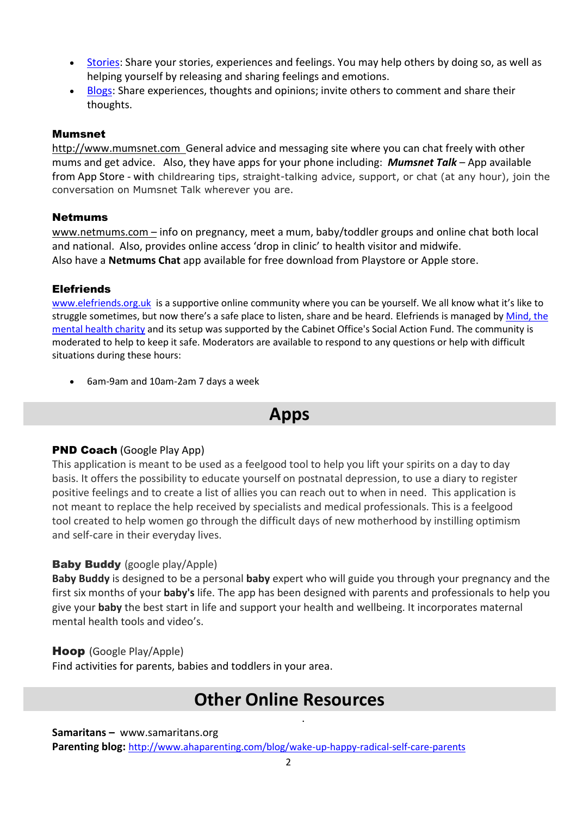- [Stories:](http://www.sane.org.uk/how_you_can_help/through_your_eyes/) Share your stories, experiences and feelings. You may help others by doing so, as well as helping yourself by releasing and sharing feelings and emotions.
- [Blogs:](http://www.sane.org.uk/how_you_can_help/blogging/) Share experiences, thoughts and opinions; invite others to comment and share their thoughts.

#### Mumsnet

[http://www.mumsnet.com](http://www.mumsnet.com/) General advice and messaging site where you can chat freely with other mums and get advice. Also, they have apps for your phone including: *Mumsnet Talk* – App available from App Store - with childrearing tips, straight-talking advice, support, or chat (at any hour), join the conversation on Mumsnet Talk wherever you are.

#### Netmums

[www.netmums.com](http://www.netmums.com/) – info on pregnancy, meet a mum, baby/toddler groups and online chat both local and national. Also, provides online access 'drop in clinic' to health visitor and midwife. Also have a **Netmums Chat** app available for free download from Playstore or Apple store.

#### **Elefriends**

[www.elefriends.org.uk](http://www.elefriends.org.uk/) is a supportive online community where you can be yourself. We all know what it's like to struggle sometimes, but now there's a safe place to listen, share and be heard. Elefriends is managed by Mind, the [mental health charity](http://www.mind.org.uk/) and its setup was supported by the Cabinet Office's Social Action Fund. The community is moderated to help to keep it safe. Moderators are available to respond to any questions or help with difficult situations during these hours:

• 6am-9am and 10am-2am 7 days a week

### **Apps**

#### PND Coach (Google Play App)

This application is meant to be used as a feelgood tool to help you lift your spirits on a day to day basis. It offers the possibility to educate yourself on postnatal depression, to use a diary to register positive feelings and to create a list of allies you can reach out to when in need. This application is not meant to replace the help received by specialists and medical professionals. This is a feelgood tool created to help women go through the difficult days of new motherhood by instilling optimism and self-care in their everyday lives.

#### **Baby Buddy** (google play/Apple)

**Baby Buddy** is designed to be a personal **baby** expert who will guide you through your pregnancy and the first six months of your **baby's** life. The app has been designed with parents and professionals to help you give your **baby** the best start in life and support your health and wellbeing. It incorporates maternal mental health tools and video's.

#### Hoop (Google Play/Apple)

Find activities for parents, babies and toddlers in your area.

### **Other Online Resources**

.

#### **Samaritans –** www.samaritans.org

**Parenting blog:** <http://www.ahaparenting.com/blog/wake-up-happy-radical-self-care-parents>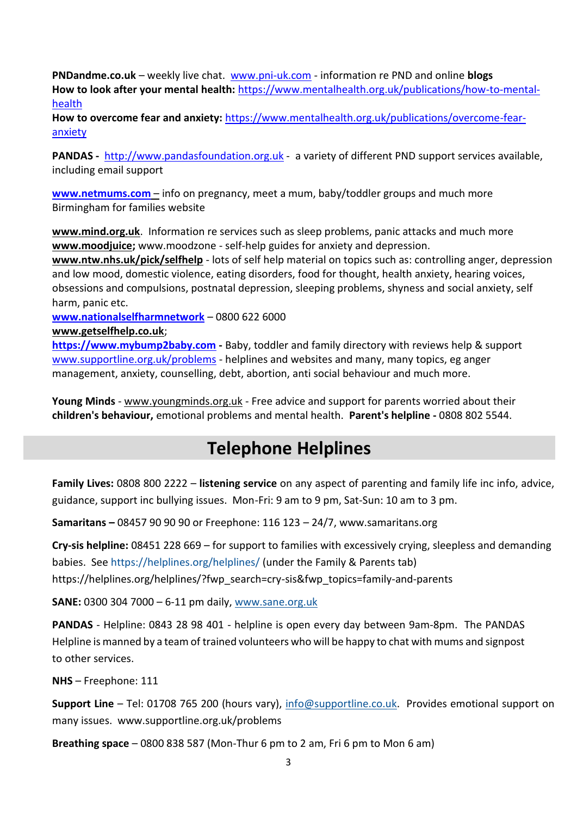**PNDandme.co.uk** – weekly live chat. [www.pni-uk.com](http://www.pni-uk.com/) - information re PND and online **blogs How to look after your mental health:** [https://www.mentalhealth.org.uk/publications/how-to-mental](https://www.mentalhealth.org.uk/publications/how-to-mental-health)[health](https://www.mentalhealth.org.uk/publications/how-to-mental-health)

**How to overcome fear and anxiety:** [https://www.mentalhealth.org.uk/publications/overcome-fear](https://www.mentalhealth.org.uk/publications/overcome-fear-anxiety)[anxiety](https://www.mentalhealth.org.uk/publications/overcome-fear-anxiety)

**PANDAS -** [http://www.pandasfoundation.org.uk](http://www.pandasfoundation.org.uk/) - a variety of different PND support services available, including email support

**[www.netmums.com](http://www.netmums.com/)** – info on pregnancy, meet a mum, baby/toddler groups and much more Birmingham for families website

**[www.mind.org.uk](http://www.mind.org.uk/)**. Information re services such as sleep problems, panic attacks and much more **[www.moodjuice;](http://www.moodjuice/)** www.moodzone - self-help guides for anxiety and depression.

**[www.ntw.nhs.uk/pick/selfhelp](http://www.ntw.nhs.uk/pick/selfhelp)** - lots of self help material on topics such as: controlling anger, depression and low mood, domestic violence, eating disorders, food for thought, health anxiety, hearing voices, obsessions and compulsions, postnatal depression, sleeping problems, shyness and social anxiety, self harm, panic etc.

**[www.nationalselfharmnetwork](http://www.nationalselfharmnetwork/)** – 0800 622 6000

#### **[www.getselfhelp.co.uk](http://www.getselfhelp.co.uk/)**;

**[https://www.mybump2baby.com](https://www.mybump2baby.com/) -** Baby, toddler and family directory with reviews help & support [www.supportline.org.uk/problems](http://www.supportline.org.uk/problems) - helplines and websites and many, many topics, eg anger management, anxiety, counselling, debt, abortion, anti social behaviour and much more.

**Young Minds** - [www.youngminds.org.uk](http://www.youngminds.org.uk/) - Free advice and support for parents worried about their **children's behaviour,** emotional problems and mental health. **Parent's helpline -** 0808 802 5544.

## **Telephone Helplines**

**Family Lives:** 0808 800 2222 – **listening service** on any aspect of parenting and family life inc info, advice, guidance, support inc bullying issues. Mon-Fri: 9 am to 9 pm, Sat-Sun: 10 am to 3 pm.

**Samaritans –** 08457 90 90 90 or Freephone: 116 123 – 24/7, www.samaritans.org

**Cry-sis helpline:** 08451 228 669 – for support to families with excessively crying, sleepless and demanding babies. See<https://helplines.org/helplines/> (under the Family & Parents tab) https://helplines.org/helplines/?fwp\_search=cry-sis&fwp\_topics=family-and-parents

**SANE:** 0300 304 7000 – 6-11 pm daily, [www.sane.org.uk](http://www.sane.org.uk/)

**PANDAS** - Helpline: 0843 28 98 401 - helpline is open every day between 9am-8pm. The PANDAS Helpline is manned by a team of trained volunteers who will be happy to chat with mums and signpost to other services.

**NHS** – Freephone: 111

**Support Line** – Tel: 01708 765 200 (hours vary), [info@supportline.co.uk.](mailto:info@supportline.co.uk) Provides emotional support on many issues. www.supportline.org.uk/problems

**Breathing space** – 0800 838 587 (Mon-Thur 6 pm to 2 am, Fri 6 pm to Mon 6 am)